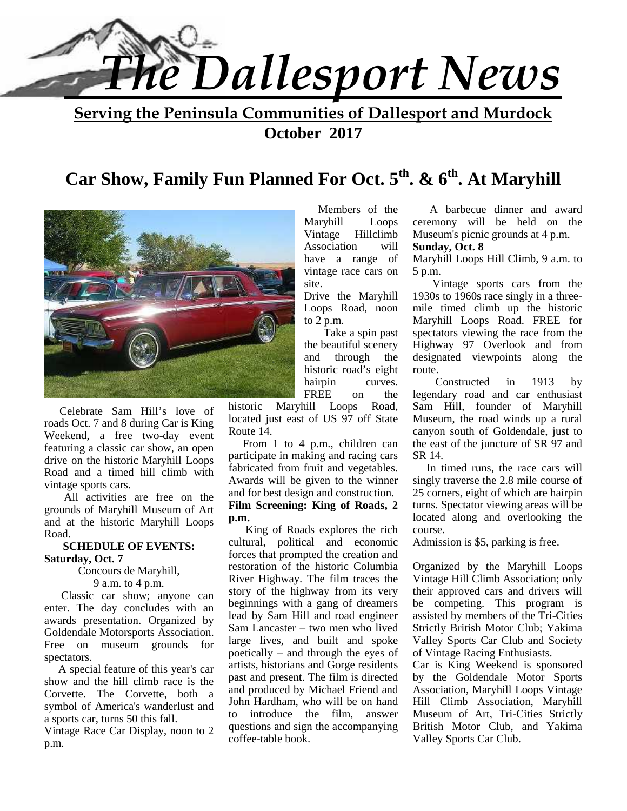

**Serving the Peninsula Communities of Dallesport and Murdock October 2017**

## **Car Show, Family Fun Planned For Oct. 5th . & 6th . At Maryhill**



Celebrate Sam Hill's love of roads Oct. 7 and 8 during Car is King Weekend, a free two-day event featuring a classic car show, an open drive on the historic Maryhill Loops Road and a timed hill climb with vintage sports cars.

 All activities are free on the grounds of Maryhill Museum of Art and at the historic Maryhill Loops Road.

#### **SCHEDULE OF EVENTS: Saturday, Oct. 7**

Concours de Maryhill,

9 a.m. to 4 p.m.

 Classic car show; anyone can enter. The day concludes with an awards presentation. Organized by Goldendale Motorsports Association. Free on museum grounds for spectators.

A special feature of this year's car show and the hill climb race is the Corvette. The Corvette, both a symbol of America's wanderlust and  $\frac{30!}{10!}$ a sports car, turns 50 this fall.

Vintage Race Car Display, noon to 2 p.m.

 Members of the Maryhill Loops Vintage Hillclimb Association will have a range of vintage race cars on site.

Drive the Maryhill Loops Road, noon to 2 p.m.

 Take a spin past the beautiful scenery and through the historic road's eight hairpin curves. FREE on the

historic Maryhill Loops Road, located just east of US 97 off State Route 14.

 From 1 to 4 p.m., children can participate in making and racing cars fabricated from fruit and vegetables. Awards will be given to the winner and for best design and construction. **Film Screening: King of Roads, 2 p.m.**

 King of Roads explores the rich cultural, political and economic forces that prompted the creation and restoration of the historic Columbia River Highway. The film traces the story of the highway from its very beginnings with a gang of dreamers lead by Sam Hill and road engineer Sam Lancaster – two men who lived large lives, and built and spoke poetically – and through the eyes of artists, historians and Gorge residents past and present. The film is directed and produced by Michael Friend and John Hardham, who will be on hand introduce the film, answer questions and sign the accompanying coffee-table book.

 A barbecue dinner and award ceremony will be held on the Museum's picnic grounds at 4 p.m.

#### **Sunday, Oct. 8**

Maryhill Loops Hill Climb, 9 a.m. to 5 p.m.

 Vintage sports cars from the 1930s to 1960s race singly in a three mile timed climb up the historic Maryhill Loops Road. FREE for spectators viewing the race from the Highway 97 Overlook and from designated viewpoints along the route.

 Constructed in 1913 by legendary road and car enthusiast Sam Hill, founder of Maryhill Museum, the road winds up a rural canyon south of Goldendale, just to the east of the juncture of SR 97 and SR 14.

 In timed runs, the race cars will singly traverse the 2.8 mile course of 25 corners, eight of which are hairpin turns. Spectator viewing areas will be located along and overlooking the course.

Admission is \$5, parking is free.

Organized by the Maryhill Loops Vintage Hill Climb Association; only their approved cars and drivers will be competing. This program is assisted by members of the Tri-Cities Strictly British Motor Club; Yakima Valley Sports Car Club and Society of Vintage Racing Enthusiasts.

Car is King Weekend is sponsored by the Goldendale Motor Sports Association, Maryhill Loops Vintage Hill Climb Association, Maryhill Museum of Art, Tri-Cities Strictly British Motor Club, and Yakima Valley Sports Car Club.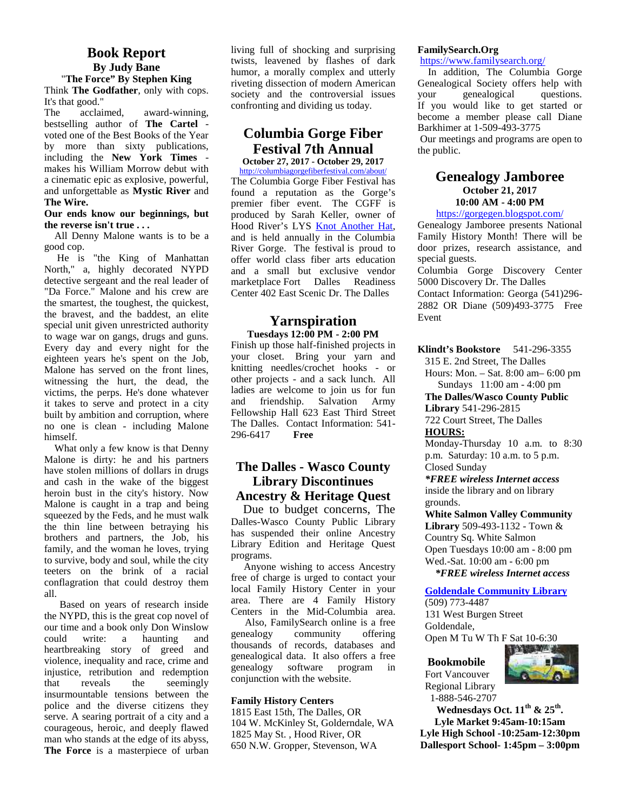## **Book Report By Judy Bane** "**The Force" By Stephen King**

Think **The Godfather**, only with cops. It's that good."

The acclaimed, award-winning, bestselling author of **The Cartel** voted one of the Best Books of the Year by more than sixty publications, including the **New York Times** makes his William Morrow debut with a cinematic epic as explosive, powerful, and unforgettable as **Mystic River** and **The Wire.**

#### **Our ends know our beginnings, but the reverse isn't true . . .**

All Denny Malone wants is to be a good cop.

He is "the King of Manhattan North," a, highly decorated NYPD detective sergeant and the real leader of "Da Force." Malone and his crew are the smartest, the toughest, the quickest, the bravest, and the baddest, an elite special unit given unrestricted authority to wage war on gangs, drugs and guns. Every day and every night for the eighteen years he's spent on the Job, Malone has served on the front lines, witnessing the hurt, the dead, the victims, the perps. He's done whatever ladie<br>it takes to serve and protect in a city and it takes to serve and protect in a city built by ambition and corruption, where no one is clean - including Malone himself.

What only a few know is that Denny Malone is dirty: he and his partners have stolen millions of dollars in drugs and cash in the wake of the biggest heroin bust in the city's history. Now Malone is caught in a trap and being squeezed by the Feds, and he must walk the thin line between betraying his brothers and partners, the Job, his family, and the woman he loves, trying to survive, body and soul, while the city teeters on the brink of a racial conflagration that could destroy them all.

Based on years of research inside the NYPD, this is the great cop novel of our time and a book only Don Winslow Business and the could unit allowing the property of the could could write: a haunting and heartbreaking story of greed and violence, inequality and race, crime and<br>initiative and redemntion and generatory injustice, retribution and redemption that reveals the seemingly insurmountable tensions between the police and the diverse citizens they serve. A searing portrait of a city and a courageous, heroic, and deeply flawed man who stands at the edge of its abyss, **The Force** is a masterpiece of urban

living full of shocking and surprising twists, leavened by flashes of dark humor, a morally complex and utterly riveting dissection of modern American society and the controversial issues vour confronting and dividing us today.

## **Columbia Gorge Fiber Festival 7th Annual**

**October 27, 2017 - October 29, 2017** http://columbiagorgefiberfestival.com/about/

The Columbia Gorge Fiber Festival has found a reputation as the Gorge's premier fiber event. The CGFF is produced by Sarah Keller, owner of Hood River's LYS Knot Another Hat, and is held annually in the Columbia River Gorge. The festival is proud to offer world class fiber arts education and a small but exclusive vendor marketplace Fort Dalles Readiness Center 402 East Scenic Dr. The Dalles

## **Yarnspiration Tuesdays 12:00 PM - 2:00 PM**

Finish up those half-finished projects in your closet. Bring your yarn and knitting needles/crochet hooks - or other projects - and a sack lunch. All ladies are welcome to join us for fun<br>and friendship. Salvation Army friendship. Salvation Fellowship Hall 623 East Third Street The Dalles. Contact Information: 541- 296-6417 **Free**

## **The Dalles - Wasco County Library Discontinues Ancestry & Heritage Quest**

 Due to budget concerns, The Dalles-Wasco County Public Library has suspended their online Ancestry Library Edition and Heritage Quest programs.

Anyone wishing to access Ancestry free of charge is urged to contact your local Family History Center in your area. There are 4 Family History Centers in the Mid-Columbia area.

Also, FamilySearch online is a free community offering thousands of records, databases and genealogical data. It also offers a free software program in conjunction with the website.

#### **Family History Centers**

1815 East 15th, The Dalles, OR 104 W. McKinley St, Golderndale, WA 1825 May St. , Hood River, OR 650 N.W. Gropper, Stevenson, WA

#### **FamilySearch.Org**

https://www.familysearch.org/

In addition, The Columbia Gorge Genealogical Society offers help with genealogical questions. If you would like to get started or become a member please call Diane Barkhimer at 1-509-493-3775

Our meetings and programs are open to the public.

## **Genealogy Jamboree October 21, 2017 10:00 AM - 4:00 PM**

## https://gorgegen.blogspot.com/

Genealogy Jamboree presents National Family History Month! There will be door prizes, research assistance, and special guests.

Columbia Gorge Discovery Center 5000 Discovery Dr. The Dalles Contact Information: Georga (541)296- 2882 OR Diane (509)493-3775 Free Event

**Klindt's Bookstore** 541-296-3355

315 E. 2nd Street, The Dalles

Hours: Mon. – Sat. 8:00 am– 6:00 pm Sundays 11:00 am - 4:00 pm

**The Dalles/Wasco County Public Library** 541-296-2815

722 Court Street, The Dalles **HOURS:**

Monday-Thursday 10 a.m. to 8:30 p.m. Saturday: 10 a.m. to 5 p.m. Closed Sunday

*\*FREE wireless Internet access* inside the library and on library

grounds. **White Salmon Valley Community Library** 509-493-1132 - Town & Country Sq. White Salmon Open Tuesdays 10:00 am - 8:00 pm

Wed.-Sat. 10:00 am - 6:00 pm

 *\*FREE wireless Internet access*

## **Goldendale Community Library**

(509) 773-4487 131 West Burgen Street Goldendale, Open M Tu W Th F Sat 10-6:30

#### **Bookmobile** Fort Vancouver

Regional Library

 1-888-546-2707 **Wednesdays Oct. 11th & 25th . Lyle Market 9:45am-10:15am Lyle High School -10:25am-12:30pm Dallesport School- 1:45pm – 3:00pm**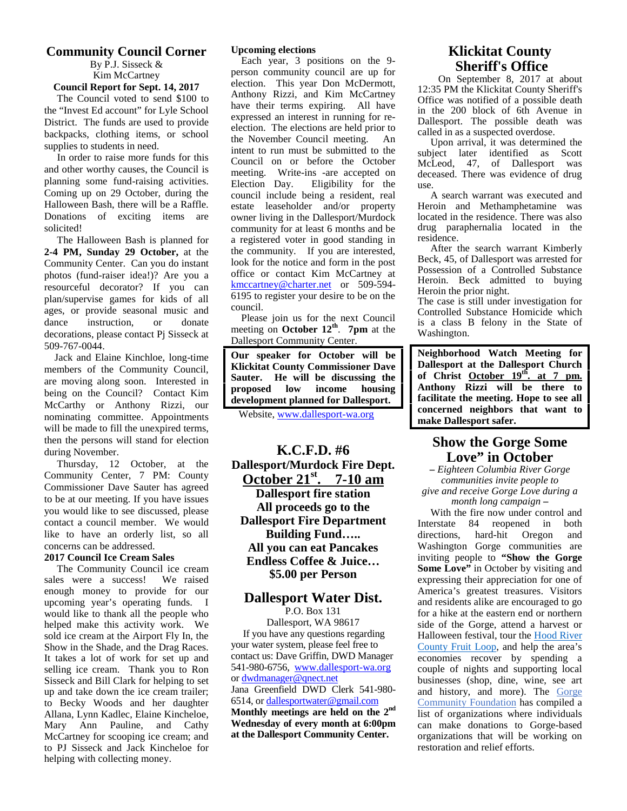## **Community Council Corner**

By P.J. Sisseck & Kim McCartney **Council Report for Sept. 14, 2017**

The Council voted to send \$100 to the "Invest Ed account" for Lyle School District. The funds are used to provide backpacks, clothing items, or school supplies to students in need.

In order to raise more funds for this and other worthy causes, the Council is planning some fund-raising activities. Coming up on 29 October, during the Halloween Bash, there will be a Raffle. Donations of exciting items are solicited!

The Halloween Bash is planned for **2-4 PM, Sunday 29 October,** at the Community Center. Can you do instant photos (fund-raiser idea!)? Are you a resourceful decorator? If you can plan/supervise games for kids of all ages, or provide seasonal music and dance instruction, or donate decorations, please contact Pj Sisseck at 509-767-0044.

Jack and Elaine Kinchloe, long-time members of the Community Council, are moving along soon. Interested in  $\begin{array}{c|c} \textbf{Sauter.} & \textbf{f} \\ \textbf{hains on the Council?} & \textbf{Contest } \textbf{Kim} \\ \end{array}$ being on the Council? Contact Kim McCarthy or Anthony Rizzi, our nominating committee. Appointments will be made to fill the unexpired terms, then the persons will stand for election during November.

Thursday, 12 October, at the Community Center, 7 PM: County Commissioner Dave Sauter has agreed to be at our meeting. If you have issues you would like to see discussed, please contact a council member. We would like to have an orderly list, so all concerns can be addressed.

## **2017 Council Ice Cream Sales**

The Community Council ice cream sales were a success! We raised enough money to provide for our upcoming year's operating funds. I would like to thank all the people who helped make this activity work. We sold ice cream at the Airport Fly In, the Show in the Shade, and the Drag Races. It takes a lot of work for set up and selling ice cream. Thank you to Ron Sisseck and Bill Clark for helping to set up and take down the ice cream trailer; to Becky Woods and her daughter Allana, Lynn Kadlec, Elaine Kincheloe, Mary Ann Pauline, and Cathy McCartney for scooping ice cream; and to PJ Sisseck and Jack Kincheloe for helping with collecting money.

#### **Upcoming elections**

Each year, 3 positions on the 9 person community council are up for election. This year Don McDermott, Anthony Rizzi, and Kim McCartney have their terms expiring. All have expressed an interest in running for re election. The elections are held prior to the November Council meeting. An intent to run must be submitted to the Council on or before the October meeting. Write-ins -are accepted on Election Day. Eligibility for the council include being a resident, real estate leaseholder and/or property owner living in the Dallesport/Murdock community for at least 6 months and be a registered voter in good standing in the community. If you are interested, look for the notice and form in the post office or contact Kim McCartney at kmccartney@charter.net or 509-594- 6195 to register your desire to be on the council.

 Please join us for the next Council meeting on **October 12<sup>th</sup>. 7pm** at the  $W_5$ Dallesport Community Center.

**Our speaker for October will be Klickitat County Commissioner Dave Sauter. He will be discussing the how income housing development planned for Dallesport.**

Website, www.dallesport-wa.org

**K.C.F.D. #6 Dallesport/Murdock Fire Dept. October 21st. 7-10 am Dallesport fire station All proceeds go to the Dallesport Fire Department Building Fund….. All you can eat Pancakes Endless Coffee & Juice… \$5.00 per Person**

## **Dallesport Water Dist.**

P.O. Box 131

Dallesport, WA 98617 If you have any questions regarding your water system, please feel free to contact us: Dave Griffin, DWD Manager 541-980-6756, www.dallesport-wa.org or dwdmanager@qnect.net Jana Greenfield DWD Clerk 541-980- 6514, or dallesportwater@gmail.com **Monthly meetings are held on the 2nd Wednesday of every month at 6:00pm at the Dallesport Community Center.**

## **Klickitat County Sheriff's Office**

On September 8, 2017 at about 12:35 PM the Klickitat County Sheriff's Office was notified of a possible death in the 200 block of 6th Avenue in Dallesport. The possible death was called in as a suspected overdose.

Upon arrival, it was determined the subject later identified as Scott McLeod, 47, of Dallesport was deceased. There was evidence of drug use.

A search warrant was executed and Heroin and Methamphetamine was located in the residence. There was also drug paraphernalia located in the residence.

After the search warrant Kimberly Beck, 45, of Dallesport was arrested for Possession of a Controlled Substance Heroin. Beck admitted to buying Heroin the prior night.

The case is still under investigation for Controlled Substance Homicide which is a class B felony in the State of Washington.

**Neighborhood Watch Meeting for Dallesport at the Dallesport Church of Christ October 19th. at 7 pm. Anthony Rizzi will be there to facilitate the meeting. Hope to see all concerned neighbors that want to make Dallesport safer.**

## **Show the Gorge Some Love" in October**

**–** *Eighteen Columbia River Gorge communities invite people to give and receive Gorge Love during a month long campaign* **–**

With the fire now under control and Interstate 84 reopened in both directions, hard-hit Oregon and Washington Gorge communities are inviting people to **"Show the Gorge Some Love"** in October by visiting and expressing their appreciation for one of America's greatest treasures. Visitors and residents alike are encouraged to go for a hike at the eastern end or northern side of the Gorge, attend a harvest or Halloween festival, tour the Hood River County Fruit Loop, and help the area's economies recover by spending a couple of nights and supporting local businesses (shop, dine, wine, see art and history, and more). The Gorge Community Foundation has compiled a list of organizations where individuals can make donations to Gorge-based organizations that will be working on restoration and relief efforts.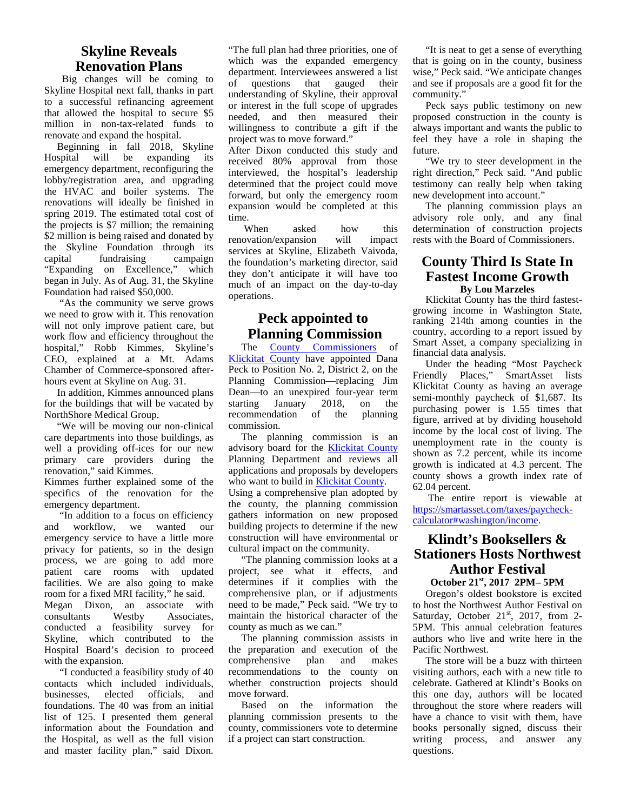## **Skyline Reveals Renovation Plans**

Big changes will be coming to  $\frac{dQ}{dG}$ Skyline Hospital next fall, thanks in part to a successful refinancing agreement that allowed the hospital to secure \$5 million in non-tax-related funds to renovate and expand the hospital.

Beginning in fall 2018, Skyline<br>Hospital will be expanding its will be expanding its emergency department, reconfiguring the lobby/registration area, and upgrading the HVAC and boiler systems. The renovations will ideally be finished in spring 2019. The estimated total cost of the projects is \$7 million; the remaining \$2 million is being raised and donated by the Skyline Foundation through its capital fundraising campaign "Expanding on Excellence," which began in July. As of Aug. 31, the Skyline Foundation had raised \$50,000.

"As the community we serve grows we need to grow with it. This renovation will not only improve patient care, but work flow and efficiency throughout the hospital," Robb Kimmes, Skyline's CEO, explained at a Mt. Adams Chamber of Commerce-sponsored after hours event at Skyline on Aug. 31.

In addition, Kimmes announced plans for the buildings that will be vacated by NorthShore Medical Group.

"We will be moving our non-clinical care departments into those buildings, as well a providing off-ices for our new primary care providers during the renovation," said Kimmes. Kimmes further explained some of the

specifics of the renovation for the emergency department.

 "In addition to a focus on efficiency and workflow, we wanted our emergency service to have a little more privacy for patients, so in the design process, we are going to add more patient care rooms with updated facilities. We are also going to make room for a fixed MRI facility," he said. Megan Dixon, an associate with consultants Westby Associates, conducted a feasibility survey for Skyline, which contributed to the Hospital Board's decision to proceed with the expansion.

 "I conducted a feasibility study of 40 contacts which included individuals, businesses, elected officials, and foundations. The 40 was from an initial list of 125. I presented them general information about the Foundation and the Hospital, as well as the full vision and master facility plan," said Dixon.

"The full plan had three priorities, one of which was the expanded emergency department. Interviewees answered a list questions that gauged their understanding of Skyline, their approval or interest in the full scope of upgrades needed, and then measured their willingness to contribute a gift if the project was to move forward."

After Dixon conducted this study and received 80% approval from those interviewed, the hospital's leadership determined that the project could move forward, but only the emergency room expansion would be completed at this time.

When asked how this renovation/expansion will impact services at Skyline, Elizabeth Vaivoda, the foundation's marketing director, said they don't anticipate it will have too much of an impact on the day-to-day operations.

## **Peck appointed to Planning Commission**

The County Commissioners of Klickitat County have appointed Dana Peck to Position No. 2, District 2, on the Planning Commission—replacing Jim Dean—to an unexpired four-year term January 2018, on the recommendation of the planning commission.

The planning commission is an advisory board for the Klickitat County Planning Department and reviews all applications and proposals by developers who want to build in Klickitat County. Using a comprehensive plan adopted by the county, the planning commission gathers information on new proposed building projects to determine if the new construction will have environmental or cultural impact on the community.

"The planning commission looks at a project, see what it effects, and determines if it complies with the comprehensive plan, or if adjustments need to be made," Peck said. "We try to maintain the historical character of the county as much as we can."

The planning commission assists in the preparation and execution of the comprehensive plan and makes recommendations to the county on whether construction projects should move forward.

Based on the information the planning commission presents to the county, commissioners vote to determine if a project can start construction.

"It is neat to get a sense of everything that is going on in the county, business wise," Peck said. "We anticipate changes and see if proposals are a good fit for the community."

Peck says public testimony on new proposed construction in the county is always important and wants the public to feel they have a role in shaping the future.

"We try to steer development in the right direction," Peck said. "And public testimony can really help when taking new development into account."

The planning commission plays an advisory role only, and any final determination of construction projects rests with the Board of Commissioners.

## **County Third Is State In Fastest Income Growth By Lou Marzeles**

Klickitat County has the third fastest growing income in Washington State, ranking 214th among counties in the country, according to a report issued by Smart Asset, a company specializing in financial data analysis.

Under the heading "Most Paycheck Friendly Places," SmartAsset lists Klickitat County as having an average semi-monthly paycheck of \$1,687. Its purchasing power is 1.55 times that figure, arrived at by dividing household income by the local cost of living. The unemployment rate in the county is shown as 7.2 percent, while its income growth is indicated at 4.3 percent. The county shows a growth index rate of 62.04 percent.

The entire report is viewable at https://smartasset.com/taxes/paycheck calculator#washington/income.

## **Klindt's Booksellers & Stationers Hosts Northwest Author Festival**

## **October 21st, 2017 2PM– 5PM**

Oregon's oldest bookstore is excited to host the Northwest Author Festival on Saturday, October 21<sup>st</sup>, 2017, from 2-5PM. This annual celebration features authors who live and write here in the Pacific Northwest.

The store will be a buzz with thirteen visiting authors, each with a new title to celebrate. Gathered at Klindt's Books on this one day, authors will be located throughout the store where readers will have a chance to visit with them, have books personally signed, discuss their writing process, and answer any questions.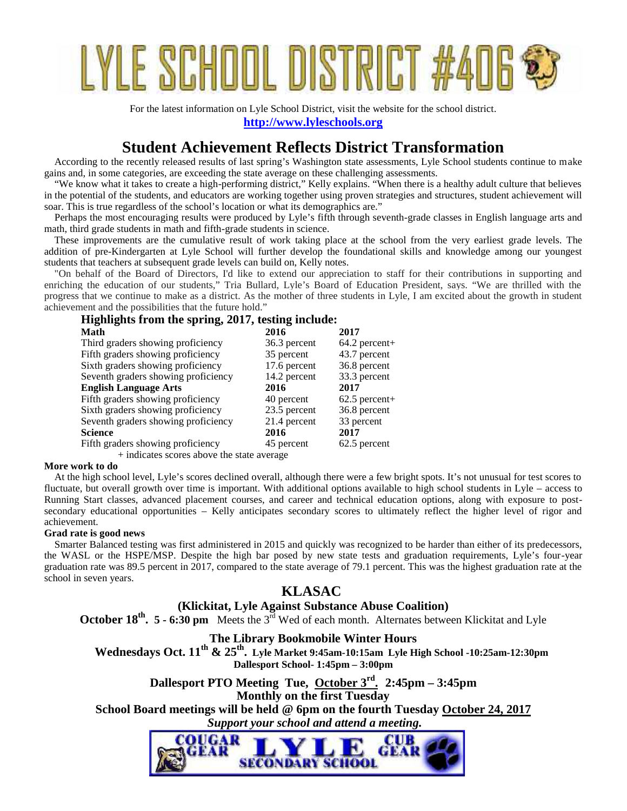# YLE SCHOOL DISTRIC

For the latest information on Lyle School District, visit the website for the school district. **http://www.lyleschools.org**

## **Student Achievement Reflects District Transformation**

 According to the recently released results of last spring's Washington state assessments, Lyle School students continue to make gains and, in some categories, are exceeding the state average on these challenging assessments.

 "We know what it takes to create a high-performing district," Kelly explains. "When there is a healthy adult culture that believes in the potential of the students, and educators are working together using proven strategies and structures, student achievement will soar. This is true regardless of the school's location or what its demographics are."

 Perhaps the most encouraging results were produced by Lyle's fifth through seventh-grade classes in English language arts and math, third grade students in math and fifth-grade students in science.

 These improvements are the cumulative result of work taking place at the school from the very earliest grade levels. The addition of pre-Kindergarten at Lyle School will further develop the foundational skills and knowledge among our youngest students that teachers at subsequent grade levels can build on, Kelly notes.

 "On behalf of the Board of Directors, I'd like to extend our appreciation to staff for their contributions in supporting and enriching the education of our students," Tria Bullard, Lyle's Board of Education President, says. "We are thrilled with the progress that we continue to make as a district. As the mother of three students in Lyle, I am excited about the growth in student achievement and the possibilities that the future hold."

| Highlights from the spring, 2017, testing include: |              |                 |  |  |  |  |  |
|----------------------------------------------------|--------------|-----------------|--|--|--|--|--|
| Math                                               | 2016         | 2017            |  |  |  |  |  |
| Third graders showing proficiency                  | 36.3 percent | $64.2$ percent+ |  |  |  |  |  |
| Fifth graders showing proficiency                  | 35 percent   | 43.7 percent    |  |  |  |  |  |
| Sixth graders showing proficiency                  | 17.6 percent | 36.8 percent    |  |  |  |  |  |
| Seventh graders showing proficiency                | 14.2 percent | 33.3 percent    |  |  |  |  |  |
| <b>English Language Arts</b>                       | 2016         | 2017            |  |  |  |  |  |
| Fifth graders showing proficiency                  | 40 percent   | $62.5$ percent+ |  |  |  |  |  |
| Sixth graders showing proficiency                  | 23.5 percent | 36.8 percent    |  |  |  |  |  |
| Seventh graders showing proficiency                | 21.4 percent | 33 percent      |  |  |  |  |  |
| <b>Science</b>                                     | 2016         | 2017            |  |  |  |  |  |
| Fifth graders showing proficiency                  | 45 percent   | 62.5 percent    |  |  |  |  |  |
| + indicates scores above the state average         |              |                 |  |  |  |  |  |

#### **More work to do**

 At the high school level, Lyle's scores declined overall, although there were a few bright spots. It's not unusual for test scores to fluctuate, but overall growth over time is important. With additional options available to high school students in Lyle – access to Running Start classes, advanced placement courses, and career and technical education options, along with exposure to post secondary educational opportunities – Kelly anticipates secondary scores to ultimately reflect the higher level of rigor and achievement.

#### **Grad rate is good news**

 Smarter Balanced testing was first administered in 2015 and quickly was recognized to be harder than either of its predecessors, the WASL or the HSPE/MSP. Despite the high bar posed by new state tests and graduation requirements, Lyle's four-year graduation rate was 89.5 percent in 2017, compared to the state average of 79.1 percent. This was the highest graduation rate at the school in seven years.

## **KLASAC**

## **(Klickitat, Lyle Against Substance Abuse Coalition)**

**October 18<sup>th</sup>. 5 - 6:30 pm** Meets the 3<sup>rd</sup> Wed of each month. Alternates between Klickitat and Lyle

## **The Library Bookmobile Winter Hours**

 **Wednesdays Oct. 11th & 25th . Lyle Market 9:45am-10:15am Lyle High School -10:25am-12:30pm Dallesport School- 1:45pm – 3:00pm**

**Dallesport PTO Meeting Tue, October 3rd . 2:45pm – 3:45pm Monthly on the first Tuesday School Board meetings will be held @ 6pm on the fourth Tuesday October 24, 2017**  *Support your school and attend a meeting.*

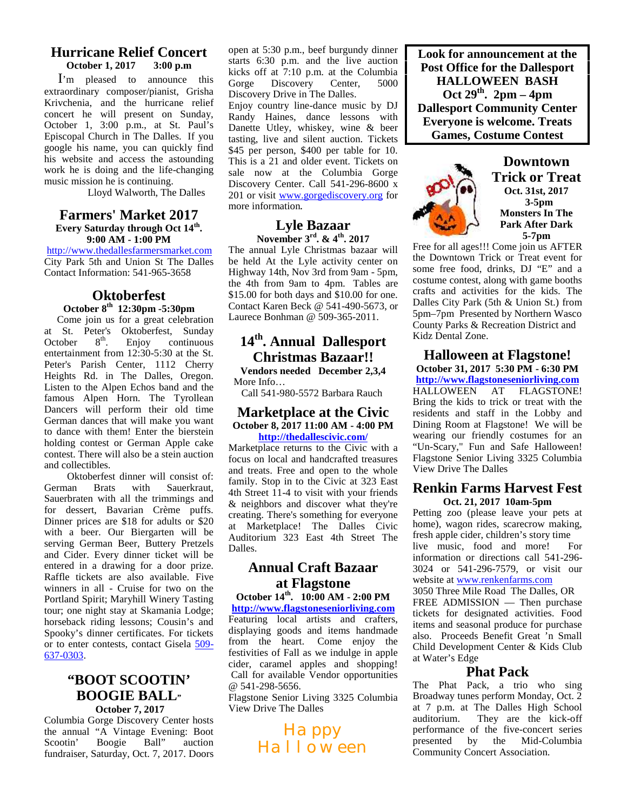#### **Hurricane Relief Concert**<br>October 1. 2017 3:00 p.m **October 1, 2017**

I'm pleased to announce this Gorge extraordinary composer/pianist, Grisha Krivchenia, and the hurricane relief concert he will present on Sunday, October 1, 3:00 p.m., at St. Paul's Episcopal Church in The Dalles. If you google his name, you can quickly find his website and access the astounding work he is doing and the life-changing music mission he is continuing.

Lloyd Walworth, The Dalles

#### **Farmers' Market 2017 Every Saturday through Oct 14th . 9:00 AM - 1:00 PM**

http://www.thedallesfarmersmarket.com City Park 5th and Union St The Dalles Contact Information: 541-965-3658

## **Oktoberfest**

## **October 8th 12:30pm -5:30pm**

Come join us for a great celebration at St. Peter's Oktoberfest, Sunday<br>October 8<sup>th</sup>. Enjoy continuous October  $8<sup>th</sup>$ . Enjoy continuous entertainment from 12:30-5:30 at the St. Peter's Parish Center, 1112 Cherry Heights Rd. in The Dalles, Oregon. Listen to the Alpen Echos band and the famous Alpen Horn. The Tyrollean Dancers will perform their old time German dances that will make you want to dance with them! Enter the bierstein holding contest or German Apple cake contest. There will also be a stein auction and collectibles.

Oktoberfest dinner will consist of: German Brats with Sauerkraut, Sauerbraten with all the trimmings and for dessert, Bavarian Crème puffs. Dinner prices are \$18 for adults or \$20 with a beer. Our Biergarten will be serving German Beer, Buttery Pretzels and Cider. Every dinner ticket will be entered in a drawing for a door prize. Raffle tickets are also available. Five winners in all - Cruise for two on the Portland Spirit; Maryhill Winery Tasting tour; one night stay at Skamania Lodge; horseback riding lessons; Cousin's and Spooky's dinner certificates. For tickets or to enter contests, contact Gisela 509- 637-0303.

## **"BOOT SCOOTIN' BOOGIE BALL" October 7, 2017**

Columbia Gorge Discovery Center hosts the annual "A Vintage Evening: Boot<br>Scootin' Boogie Ball" auction Boogie Ball" auction fundraiser, Saturday, Oct. 7, 2017. Doors open at 5:30 p.m., beef burgundy dinner starts 6:30 p.m. and the live auction kicks off at 7:10 p.m. at the Columbia<br>Gorge Discovery Center. 5000 Discovery Discovery Drive in The Dalles. Enjoy country line-dance music by DJ Randy Haines, dance lessons with Danette Utley, whiskey, wine & beer tasting, live and silent auction. Tickets \$45 per person, \$400 per table for 10. This is a 21 and older event. Tickets on sale now at the Columbia Gorge Discovery Center. Call 541-296-8600 x 201 or visit www.gorgediscovery.org for more information**.**

## **Lyle Bazaar November 3rd. & 4th. 2017**

The annual Lyle Christmas bazaar will be held At the Lyle activity center on Highway 14th, Nov 3rd from 9am - 5pm, the 4th from 9am to 4pm. Tables are \$15.00 for both days and \$10.00 for one. Contact Karen Beck @ 541-490-5673, or Laurece Bonhman @ 509-365-2011.

## **14th. Annual Dallesport Christmas Bazaar!!**

**Vendors needed December 2,3,4** More Info…

Call 541-980-5572 Barbara Rauch HALLOWEEN

#### **Marketplace at the Civic October 8, 2017 11:00 AM - 4:00 PM http://thedallescivic.com/**

Marketplace returns to the Civic with a focus on local and handcrafted treasures and treats. Free and open to the whole family. Stop in to the Civic at 323 East 4th Street 11-4 to visit with your friends & neighbors and discover what they're creating. There's something for everyone at Marketplace! The Dalles Civic Auditorium 323 East 4th Street The Dalles.

## **Annual Craft Bazaar at Flagstone**

**October 14th . 10:00 AM - 2:00 PM http://www.flagstoneseniorliving.com** Featuring local artists and crafters, displaying goods and items handmade from the heart. Come enjoy the festivities of Fall as we indulge in apple cider, caramel apples and shopping! Call for available Vendor opportunities @ 541-298-5656.

Flagstone Senior Living 3325 Columbia View Drive The Dalles

> Happy Halloween

**Look for announcement at the Post Office for the Dallesport HALLOWEEN BASH Oct 29th . 2pm – 4pm Dallesport Community Center Everyone is welcome. Treats Games, Costume Contest**



**Downtown Trick or Treat Oct. 31st, 2017 3-5pm Monsters In The Park After Dark 5-7pm**

Free for all ages!!! Come join us AFTER the Downtown Trick or Treat event for some free food, drinks, DJ "E" and a costume contest, along with game booths crafts and activities for the kids. The Dalles City Park (5th & Union St.) from 5pm–7pm Presented by Northern Wasco County Parks & Recreation District and Kidz Dental Zone.

**Halloween at Flagstone! October 31, 2017 5:30 PM - 6:30 PM**

**http://www.flagstoneseniorliving.com FLAGSTONE!** Bring the kids to trick or treat with the residents and staff in the Lobby and Dining Room at Flagstone! We will be wearing our friendly costumes for an "Un-Scary," Fun and Safe Halloween! Flagstone Senior Living 3325 Columbia View Drive The Dalles

## **Renkin Farms Harvest Fest Oct. 21, 2017 10am-5pm**

Petting zoo (please leave your pets at home), wagon rides, scarecrow making, fresh apple cider, children's story time live music, food and more! For information or directions call 541-296- 3024 or 541-296-7579, or visit our website at www.renkenfarms.com

3050 Three Mile Road The Dalles, OR

FREE ADMISSION — Then purchase tickets for designated activities. Food items and seasonal produce for purchase also. Proceeds Benefit Great 'n Small Child Development Center & Kids Club at Water's Edge

## **Phat Pack**

The Phat Pack, a trio who sing Broadway tunes perform Monday, Oct. 2 at 7 p.m. at The Dalles High School auditorium. They are the kick-off performance of the five-concert series presented by the Mid-Columbia Community Concert Association.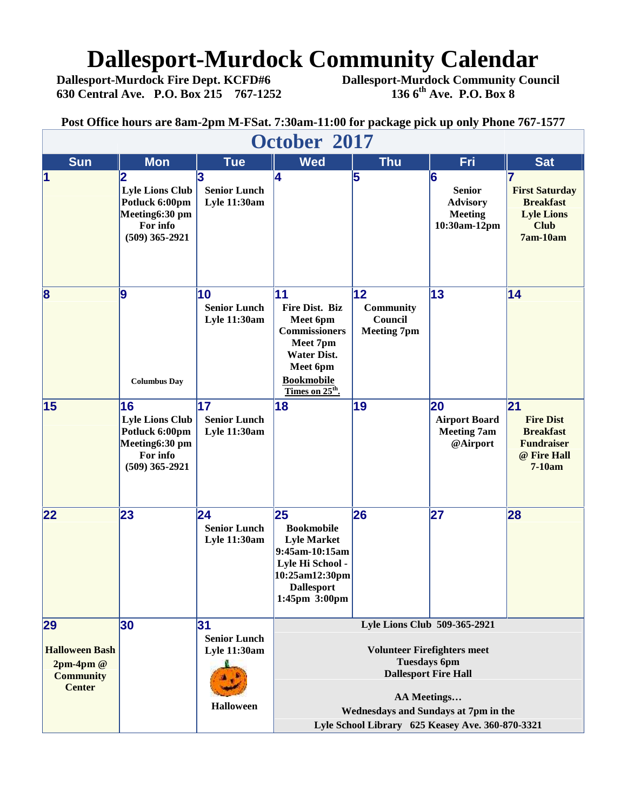## **Dallesport-Murdock Community Calendar**<br>Dallesport-Murdock Fire Dept. KCFD#6 Dallesport-Murdock Community Cour

**630 Central Ave. P.O. Box 215 767-1252 136 6th Ave. P.O. Box 8**

**Dallesport-Murdock Fire Dept. KCFD#6 Dallesport-Murdock Community Council**

|                                                                                |                                                                                                  |                                                                      | Post Office hours are 8am-2pm M-FSat. 7:30am-11:00 for package pick up only Phone 767-1577                                                                                                                                                 |                                                                   |                                                                         |                                                                                                 |  |  |
|--------------------------------------------------------------------------------|--------------------------------------------------------------------------------------------------|----------------------------------------------------------------------|--------------------------------------------------------------------------------------------------------------------------------------------------------------------------------------------------------------------------------------------|-------------------------------------------------------------------|-------------------------------------------------------------------------|-------------------------------------------------------------------------------------------------|--|--|
| October 2017                                                                   |                                                                                                  |                                                                      |                                                                                                                                                                                                                                            |                                                                   |                                                                         |                                                                                                 |  |  |
| <b>Sun</b>                                                                     | <b>Mon</b>                                                                                       | <b>Tue</b>                                                           | <b>Wed</b>                                                                                                                                                                                                                                 | <b>Thu</b>                                                        | Fri                                                                     | <b>Sat</b>                                                                                      |  |  |
| $\overline{\mathbf{1}}$                                                        | 2<br><b>Lyle Lions Club</b><br>Potluck 6:00pm<br>Meeting6:30 pm<br>For info<br>$(509)$ 365-2921  | з<br><b>Senior Lunch</b><br><b>Lyle 11:30am</b>                      | 14                                                                                                                                                                                                                                         | 5                                                                 | 6<br><b>Senior</b><br><b>Advisory</b><br><b>Meeting</b><br>10:30am-12pm | 17<br><b>First Saturday</b><br><b>Breakfast</b><br><b>Lyle Lions</b><br><b>Club</b><br>7am-10am |  |  |
| 8                                                                              | 9<br><b>Columbus Day</b>                                                                         | 10<br><b>Senior Lunch</b><br><b>Lyle 11:30am</b>                     | <b>11</b><br><b>Fire Dist. Biz</b><br>Meet 6pm<br><b>Commissioners</b><br>Meet 7pm<br><b>Water Dist.</b><br>Meet 6pm<br><b>Bookmobile</b><br>Times on 25 <sup>th</sup> .                                                                   | $ 12\rangle$<br><b>Community</b><br>Council<br><b>Meeting 7pm</b> | 13                                                                      | 14                                                                                              |  |  |
| 15                                                                             | 16<br><b>Lyle Lions Club</b><br>Potluck 6:00pm<br>Meeting6:30 pm<br>For info<br>$(509)$ 365-2921 | 17<br><b>Senior Lunch</b><br><b>Lyle 11:30am</b>                     | 18                                                                                                                                                                                                                                         | 19                                                                | 20<br><b>Airport Board</b><br><b>Meeting 7am</b><br>@Airport            | 21<br><b>Fire Dist</b><br><b>Breakfast</b><br><b>Fundraiser</b><br>@ Fire Hall<br>$7-10am$      |  |  |
| 22                                                                             | 23                                                                                               | 24<br><b>Senior Lunch</b><br><b>Lyle 11:30am</b>                     | 25<br><b>Bookmobile</b><br><b>Lyle Market</b><br>9:45am-10:15am<br>Lyle Hi School -<br>10:25am12:30pm<br><b>Dallesport</b><br>1:45pm 3:00pm                                                                                                | 26                                                                | 27                                                                      | 28                                                                                              |  |  |
| 29<br><b>Halloween Bash</b><br>$2pm-4pm@$<br><b>Community</b><br><b>Center</b> | 30                                                                                               | 31<br><b>Senior Lunch</b><br><b>Lyle 11:30am</b><br><b>Halloween</b> | Lyle Lions Club 509-365-2921<br><b>Volunteer Firefighters meet</b><br><b>Tuesdays 6pm</b><br><b>Dallesport Fire Hall</b><br><b>AA Meetings</b><br>Wednesdays and Sundays at 7pm in the<br>Lyle School Library 625 Keasey Ave. 360-870-3321 |                                                                   |                                                                         |                                                                                                 |  |  |